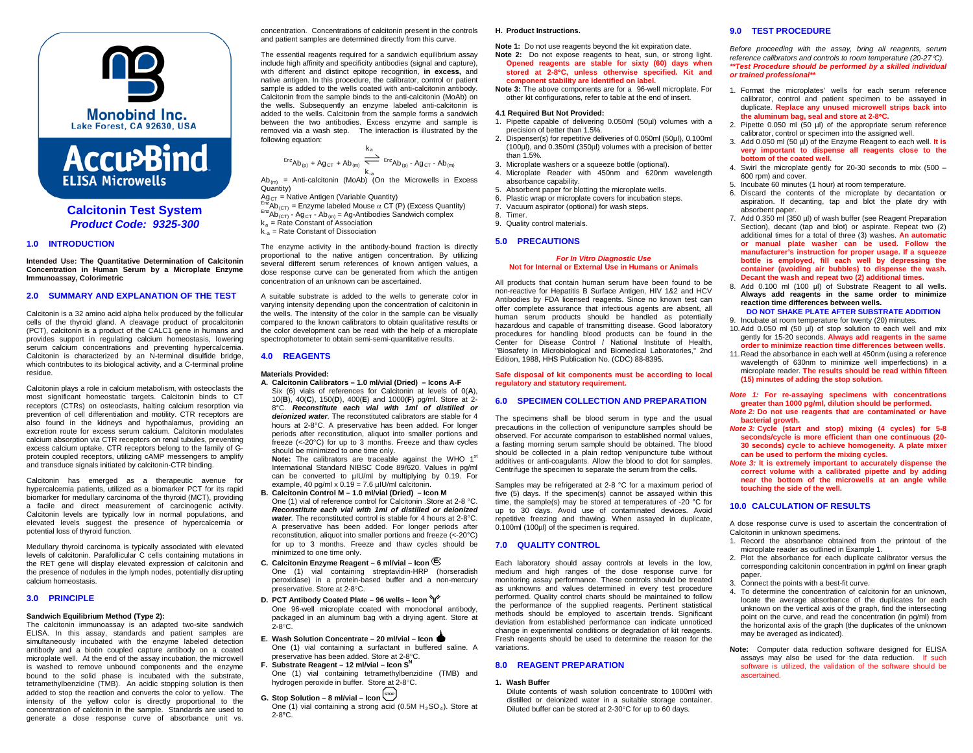



**Calcitonin Test System** *Product Code: 9325-300*

### **1.0 INTRODUCTION**

**Intended Use: The Quantitative Determination of Calcitonin Concentration in Human Serum by a Microplate Enzyme Immunoassay, Colorimetric**

### **2.0 SUMMARY AND EXPLANATION OF THE TEST**

Calcitonin is a 32 amino acid alpha helix produced by the follicular cells of the thyroid gland. A cleavage product of procalcitonin (PCT), calcitonin is a product of the CALC1 gene in humans and provides support in regulating calcium homeostasis, lowering serum calcium concentrations and preventing hypercalcemia. Calcitonin is characterized by an N-terminal disulfide bridge, which contributes to its biological activity, and a C-terminal proline residue.

Calcitonin plays a role in calcium metabolism, with osteoclasts the most significant homeostatic targets. Calcitonin binds to CT receptors (CTRs) on osteoclasts, halting calcium resorption via prevention of cell differentiation and motility. CTR receptors are also found in the kidneys and hypothalamus, providing an excretion route for excess serum calcium. Calcitonin modulates calcium absorption via CTR receptors on renal tubules, preventing excess calcium uptake. CTR receptors belong to the family of Gprotein coupled receptors, utilizing cAMP messengers to amplify and transduce signals initiated by calcitonin-CTR binding.

Calcitonin has emerged as a therapeutic avenue for hypercalcemia patients, utilized as a biomarker PCT for its rapid biomarker for medullary carcinoma of the thyroid (MCT), providing a facile and direct measurement of carcinogenic activity. Calcitonin levels are typically low in normal populations, and elevated levels suggest the presence of hypercalcemia or potential loss of thyroid function.

Medullary thyroid carcinoma is typically associated with elevated levels of calcitonin. Parafollicular C cells containing mutations in the RET gene will display elevated expression of calcitonin and the presence of nodules in the lymph nodes, potentially disrupting calcium homeostasis.

# **3.0 PRINCIPLE**

#### **Sandwich Equilibrium Method (Type 2):**

The calcitonin immunoassay is an adapted two-site sandwich ELISA. In this assay, standards and patient samples are simultaneously incubated with the enzyme labeled detection antibody and a biotin coupled capture antibody on a coated microplate well. At the end of the assay incubation, the microwell is washed to remove unbound components and the enzyme bound to the solid phase is incubated with the substrate, tetramethylbenzidine (TMB). An acidic stopping solution is then added to stop the reaction and converts the color to yellow. The intensity of the yellow color is directly proportional to the concentration of calcitonin in the sample. Standards are used to generate a dose response curve of absorbance unit vs.

concentration. Concentrations of calcitonin present in the controls and patient samples are determined directly from this curve.

The essential reagents required for a sandwich equilibrium assay include high affinity and specificity antibodies (signal and capture), with different and distinct epitope recognition, **in excess,** and native antigen. In this procedure, the calibrator, control or patient sample is added to the wells coated with anti-calcitonin antibody. Calcitonin from the sample binds to the anti-calcitonin (MoAb) on the wells. Subsequently an enzyme labeled anti-calcitonin is added to the wells. Calcitonin from the sample forms a sandwich between the two antibodies. Excess enzyme and sample is removed via a wash step. The interaction is illustrated by the following equation:

$$
\xrightarrow{E_{nZ}}\n\text{Ab}_{(p)} + \text{Ag}_{CT} + \text{Ab}_{(m)} \xrightarrow{\text{Ex}}\n\xrightarrow{E_{nZ}}\n\text{Ab}_{(p)} - \text{Ag}_{CT} - \text{Ab}_{(m)}
$$

k.<sub>a</sub><br>Ab<sub>(m)</sub> = Anti-calcitonin (MoAb) (On the Microwells in Excess

Quantity)<br>Ag<sub>CT</sub> = Native Antigen (Variable Quantity)

- Ag CT = Native Antigen (Antigen (Variable Quantity) Enz<sub>Ab</sub>(cT) = Enzyme labeled Mouse α CT (P) (Excess Quantity)  $E_{12}$ Ab(<sub>CT)</sub> Ag<sub>CT</sub> Ab<sub>(m)</sub> = Ag-Antibodies Sandwich complex
- $k_a$  = Rate Constant of Association
- $k_{-a}$  = Rate Constant of Dissociation

The enzyme activity in the antibody-bound fraction is directly proportional to the native antigen concentration. By utilizing several different serum references of known antigen values, a dose response curve can be generated from which the antigen concentration of an unknown can be ascertained.

A suitable substrate is added to the wells to generate color in varying intensity depending upon the concentration of calcitonin in the wells. The intensity of the color in the sample can be visually compared to the known calibrators to obtain qualitative results or the color development can be read with the help of a microplate spectrophotometer to obtain semi-semi-quantitative results.

# **4.0 REAGENTS**

- **Materials Provided: A. Calcitonin Calibrators – 1.0 ml/vial (Dried) – Icons A-F**
- Six (6) vials of references for Calcitonin at levels of 0(**A**), 10(**B**), 40(**C**), 150(**D**), 400(**E**) and 1000(**F**) pg/ml. Store at 2- 8°C. *Reconstitute each vial with 1ml of distilled or deionized water.* The reconstituted calibrators are stable for 4 hours at 2-8°C. A preservative has been added. For longer periods after reconstitution, aliquot into smaller portions and freeze (<-20°C) for up to 3 months. Freeze and thaw cycles should be minimized to one time only.

Note: The calibrators are traceable against the WHO 1<sup>st</sup> International Standard NIBSC Code 89/620. Values in pg/ml can be converted to uIU/ml by multiplying by 0.19. For example, 40 pg/ml  $x$  0.19 = 7.6  $\mu$ IU/ml calcitonin.

- **B. Calcitonin Control M – 1.0 ml/vial (Dried) – Icon M** One (1) vial of reference control for Calcitonin .Store at 2-8 °C. *Reconstitute each vial with 1ml of distilled or deionized water.* The reconstituted control is stable for 4 hours at 2-8°C. A preservative has been added. For longer periods after reconstitution, aliquot into smaller portions and freeze (<-20°C) for up to 3 months. Freeze and thaw cycles should be minimized to one time only.
- **C. Calcitonin Enzyme Reagent – 6 ml/vial – Icon E** One (1) vial containing streptavidin-HRP (horseradish
- peroxidase) in a protein-based buffer and a non-mercury preservative. Store at 2-8°C.
- **D. PCT Antibody Coated Plate – 96 wells – Icon**  One 96-well microplate coated with monoclonal antibody, packaged in an aluminum bag with a drying agent. Store at 2-8°C.
- **E. Wash Solution Concentrate – 20 ml/vial – Icon**  One (1) vial containing a surfactant in buffered saline. A preservative has been added. Store at 2-8°C.
- **F. Substrate Reagent – 12 ml/vial – Icon SN** One (1) vial containing tetramethylbenzidine (TMB) and hydrogen peroxide in buffer. Store at 2-8°C.
- G. Stop Solution 8 ml/vial Icon  $\left(\frac{\text{stop}}{2}\right)$

One (1) vial containing a strong acid (0.5M  $H_2SO_4$ ). Store at 2-8**°**C.

# **H. Product Instructions.**

**Note 1:** Do not use reagents beyond the kit expiration date.

- **Note 2:** Do not expose reagents to heat, sun, or strong light. **Opened reagents are stable for sixty (60) days when stored at 2-8**°**C, unless otherwise specified. Kit and component stability are identified on label.**
- **Note 3:** The above components are for a 96-well microplate. For other kit configurations, refer to table at the end of insert.

#### **4.1 Required But Not Provided:**

- 1. Pipette capable of delivering 0.050ml (50µl) volumes with a precision of better than 1.5%.
- 2. Dispenser(s) for repetitive deliveries of 0.050ml (50µl), 0.100ml (100µl), and 0.350ml (350µl) volumes with a precision of better than 1.5%.
- 3. Microplate washers or a squeeze bottle (optional).
- 4. Microplate Reader with 450nm and 620nm wavelength absorbance capability.
- 5. Absorbent paper for blotting the microplate wells.
- 6. Plastic wrap or microplate covers for incubation steps.
- 7. Vacuum aspirator (optional) for wash steps. 8. Timer.
- 9. Quality control materials.

# **5.0 PRECAUTIONS**

#### *For In Vitro Diagnostic Use* **Not for Internal or External Use in Humans or Animals**

All products that contain human serum have been found to be non-reactive for Hepatitis B Surface Antigen, HIV 1&2 and HCV Antibodies by FDA licensed reagents. Since no known test can offer complete assurance that infectious agents are absent, all human serum products should be handled as potentially hazardous and capable of transmitting disease. Good laboratory procedures for handling blood products can be found in the Center for Disease Control / National Institute of Health, "Biosafety in Microbiological and Biomedical Laboratories," 2nd Edition, 1988, HHS Publication No. (CDC) 88-8395.

### **Safe disposal of kit components must be according to local regulatory and statutory requirement.**

## **6.0 SPECIMEN COLLECTION AND PREPARATION**

The specimens shall be blood serum in type and the usual precautions in the collection of venipuncture samples should be observed. For accurate comparison to established normal values, a fasting morning serum sample should be obtained. The blood should be collected in a plain redtop venipuncture tube without additives or anti-coagulants. Allow the blood to clot for samples. Centrifuge the specimen to separate the serum from the cells.

Samples may be refrigerated at 2-8 °C for a maximum period of five (5) days. If the specimen(s) cannot be assayed within this time, the sample(s) may be stored at temperatures of -20 °C for up to 30 days. Avoid use of contaminated devices. Avoid repetitive freezing and thawing. When assayed in duplicate, 0.100ml (100ul) of the specimen is required.

### **7.0 QUALITY CONTROL**

Each laboratory should assay controls at levels in the low, medium and high ranges of the dose response curve for monitoring assay performance. These controls should be treated as unknowns and values determined in every test procedure performed. Quality control charts should be maintained to follow the performance of the supplied reagents. Pertinent statistical methods should be employed to ascertain trends. Significant deviation from established performance can indicate unnoticed change in experimental conditions or degradation of kit reagents. Fresh reagents should be used to determine the reason for the variations.

### **8.0 REAGENT PREPARATION**

#### **1. Wash Buffer**

Dilute contents of wash solution concentrate to 1000ml with distilled or deionized water in a suitable storage container. Diluted buffer can be stored at 2-30°C for up to 60 days.

# **9.0 TEST PROCEDURE**

*Before proceeding with the assay, bring all reagents, serum reference calibrators and controls to room temperature (20-27*°*C). \*\*Test Procedure should be performed by a skilled individual or trained professional\*\**

- 1. Format the microplates' wells for each serum reference calibrator, control and patient specimen to be assayed in duplicate. **Replace any unused microwell strips back into the aluminum bag, seal and store at 2-8**°**C.**
- 2. Pipette 0.050 ml (50 µl) of the appropriate serum reference calibrator, control or specimen into the assigned well.
- 3. Add 0.050 ml (50 µl) of the Enzyme Reagent to each well. **It is very important to dispense all reagents close to the bottom of the coated well.**
- 4. Swirl the microplate gently for 20-30 seconds to mix (500 600 rpm) and cover.
- 5. Incubate 60 minutes (1 hour) at room temperature.
- 6. Discard the contents of the microplate by decantation or aspiration. If decanting, tap and blot the plate dry with absorbent paper.
- 7. Add 0.350 ml (350 µl) of wash buffer (see Reagent Preparation Section), decant (tap and blot) or aspirate. Repeat two (2) additional times for a total of three (3) washes. **An automatic or manual plate washer can be used. Follow the manufacturer's instruction for proper usage. If a squeeze bottle is employed, fill each well by depressing the container (avoiding air bubbles) to dispense the wash. Decant the wash and repeat two (2) additional times.**
- 8. Add 0.100 ml (100 µl) of Substrate Reagent to all wells. **Always add reagents in the same order to minimize reaction time differences between wells.**
- **DO NOT SHAKE PLATE AFTER SUBSTRATE ADDITION** 9. Incubate at room temperature for twenty (20) minutes.
- 10.Add 0.050 ml (50 µl) of stop solution to each well and mix gently for 15-20 seconds. **Always add reagents in the same order to minimize reaction time differences between wells.**
- 11.Read the absorbance in each well at 450nm (using a reference wavelength of 630nm to minimize well imperfections) in a microplate reader. **The results should be read within fifteen (15) minutes of adding the stop solution.**
- *Note 1:* **For re-assaying specimens with concentrations greater than 1000 pg/ml, dilution should be performed.**
- *Note 2:* **Do not use reagents that are contaminated or have bacterial growth.**
- *Note 3:* **Cycle (start and stop) mixing (4 cycles) for 5-8 seconds/cycle is more efficient than one continuous (20- 30 seconds) cycle to achieve homogeneity. A plate mixer can be used to perform the mixing cycles.**
- *Note 3:* **It is extremely important to accurately dispense the correct volume with a calibrated pipette and by adding near the bottom of the microwells at an angle while touching the side of the well.**

# **10.0 CALCULATION OF RESULTS**

A dose response curve is used to ascertain the concentration of Calcitonin in unknown specimens.

- 1. Record the absorbance obtained from the printout of the microplate reader as outlined in Example 1.
- 2. Plot the absorbance for each duplicate calibrator versus the corresponding calcitonin concentration in pg/ml on linear graph paper.
- 3. Connect the points with a best-fit curve.
- 4. To determine the concentration of calcitonin for an unknown, locate the average absorbance of the duplicates for each unknown on the vertical axis of the graph, find the intersecting point on the curve, and read the concentration (in pg/ml) from the horizontal axis of the graph (the duplicates of the unknown may be averaged as indicated).
- **Note:** Computer data reduction software designed for ELISA assays may also be used for the data reduction. If such software is utilized, the validation of the software should be ascertained.